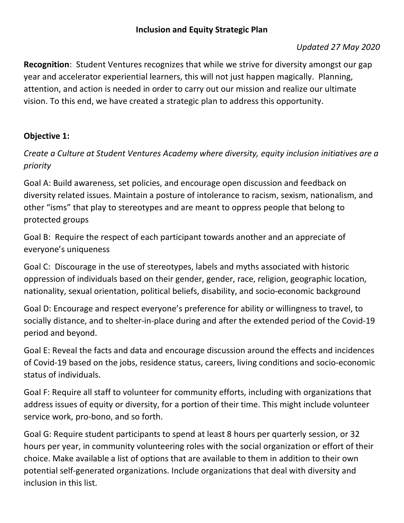#### *Updated 27 May 2020*

**Recognition**: Student Ventures recognizes that while we strive for diversity amongst our gap year and accelerator experiential learners, this will not just happen magically. Planning, attention, and action is needed in order to carry out our mission and realize our ultimate vision. To this end, we have created a strategic plan to address this opportunity.

### **Objective 1:**

*Create a Culture at Student Ventures Academy where diversity, equity inclusion initiatives are a priority*

Goal A: Build awareness, set policies, and encourage open discussion and feedback on diversity related issues. Maintain a posture of intolerance to racism, sexism, nationalism, and other "isms" that play to stereotypes and are meant to oppress people that belong to protected groups

Goal B: Require the respect of each participant towards another and an appreciate of everyone's uniqueness

Goal C: Discourage in the use of stereotypes, labels and myths associated with historic oppression of individuals based on their gender, gender, race, religion, geographic location, nationality, sexual orientation, political beliefs, disability, and socio-economic background

Goal D: Encourage and respect everyone's preference for ability or willingness to travel, to socially distance, and to shelter-in-place during and after the extended period of the Covid-19 period and beyond.

Goal E: Reveal the facts and data and encourage discussion around the effects and incidences of Covid-19 based on the jobs, residence status, careers, living conditions and socio-economic status of individuals.

Goal F: Require all staff to volunteer for community efforts, including with organizations that address issues of equity or diversity, for a portion of their time. This might include volunteer service work, pro-bono, and so forth.

Goal G: Require student participants to spend at least 8 hours per quarterly session, or 32 hours per year, in community volunteering roles with the social organization or effort of their choice. Make available a list of options that are available to them in addition to their own potential self-generated organizations. Include organizations that deal with diversity and inclusion in this list.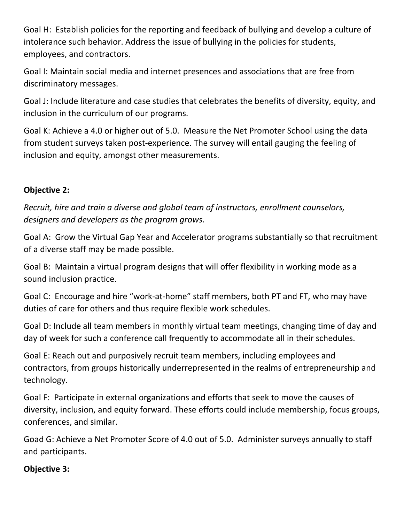Goal H: Establish policies for the reporting and feedback of bullying and develop a culture of intolerance such behavior. Address the issue of bullying in the policies for students, employees, and contractors.

Goal I: Maintain social media and internet presences and associations that are free from discriminatory messages.

Goal J: Include literature and case studies that celebrates the benefits of diversity, equity, and inclusion in the curriculum of our programs.

Goal K: Achieve a 4.0 or higher out of 5.0. Measure the Net Promoter School using the data from student surveys taken post-experience. The survey will entail gauging the feeling of inclusion and equity, amongst other measurements.

### **Objective 2:**

*Recruit, hire and train a diverse and global team of instructors, enrollment counselors, designers and developers as the program grows.* 

Goal A: Grow the Virtual Gap Year and Accelerator programs substantially so that recruitment of a diverse staff may be made possible.

Goal B: Maintain a virtual program designs that will offer flexibility in working mode as a sound inclusion practice.

Goal C: Encourage and hire "work-at-home" staff members, both PT and FT, who may have duties of care for others and thus require flexible work schedules.

Goal D: Include all team members in monthly virtual team meetings, changing time of day and day of week for such a conference call frequently to accommodate all in their schedules.

Goal E: Reach out and purposively recruit team members, including employees and contractors, from groups historically underrepresented in the realms of entrepreneurship and technology.

Goal F: Participate in external organizations and efforts that seek to move the causes of diversity, inclusion, and equity forward. These efforts could include membership, focus groups, conferences, and similar.

Goad G: Achieve a Net Promoter Score of 4.0 out of 5.0. Administer surveys annually to staff and participants.

### **Objective 3:**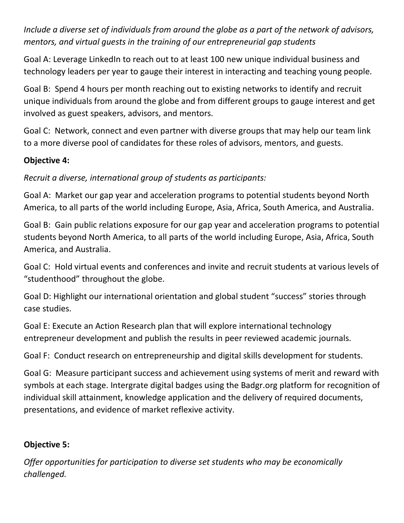*Include a diverse set of individuals from around the globe as a part of the network of advisors, mentors, and virtual guests in the training of our entrepreneurial gap students*

Goal A: Leverage LinkedIn to reach out to at least 100 new unique individual business and technology leaders per year to gauge their interest in interacting and teaching young people.

Goal B: Spend 4 hours per month reaching out to existing networks to identify and recruit unique individuals from around the globe and from different groups to gauge interest and get involved as guest speakers, advisors, and mentors.

Goal C: Network, connect and even partner with diverse groups that may help our team link to a more diverse pool of candidates for these roles of advisors, mentors, and guests.

### **Objective 4:**

*Recruit a diverse, international group of students as participants:*

Goal A: Market our gap year and acceleration programs to potential students beyond North America, to all parts of the world including Europe, Asia, Africa, South America, and Australia.

Goal B: Gain public relations exposure for our gap year and acceleration programs to potential students beyond North America, to all parts of the world including Europe, Asia, Africa, South America, and Australia.

Goal C: Hold virtual events and conferences and invite and recruit students at various levels of "studenthood" throughout the globe.

Goal D: Highlight our international orientation and global student "success" stories through case studies.

Goal E: Execute an Action Research plan that will explore international technology entrepreneur development and publish the results in peer reviewed academic journals.

Goal F: Conduct research on entrepreneurship and digital skills development for students.

Goal G: Measure participant success and achievement using systems of merit and reward with symbols at each stage. Intergrate digital badges using the Badgr.org platform for recognition of individual skill attainment, knowledge application and the delivery of required documents, presentations, and evidence of market reflexive activity.

# **Objective 5:**

*Offer opportunities for participation to diverse set students who may be economically challenged.*